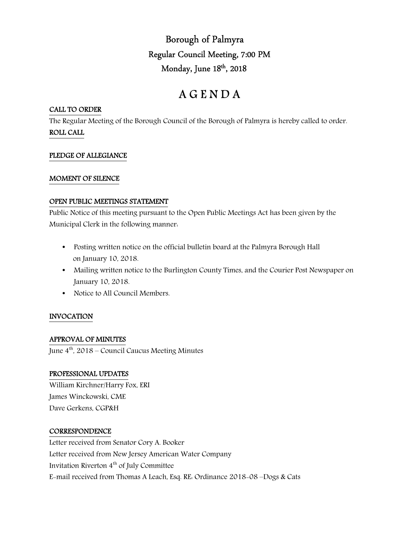Borough of Palmyra Regular Council Meeting, 7:00 PM Monday, June 18<sup>th</sup>, 2018

# A G E N D A

## CALL TO ORDER

The Regular Meeting of the Borough Council of the Borough of Palmyra is hereby called to order. ROLL CALL

# PLEDGE OF ALLEGIANCE

## MOMENT OF SILENCE

#### OPEN PUBLIC MEETINGS STATEMENT

Public Notice of this meeting pursuant to the Open Public Meetings Act has been given by the Municipal Clerk in the following manner:

- Posting written notice on the official bulletin board at the Palmyra Borough Hall on January 10, 2018.
- Mailing written notice to the Burlington County Times, and the Courier Post Newspaper on January 10, 2018.
- Notice to All Council Members.

# INVOCATION

# APPROVAL OF MINUTES

June  $4<sup>th</sup>$ , 2018 – Council Caucus Meeting Minutes

#### PROFESSIONAL UPDATES

William Kirchner/Harry Fox, ERI James Winckowski, CME Dave Gerkens, CGP&H

#### **CORRESPONDENCE**

Letter received from Senator Cory A. Booker Letter received from New Jersey American Water Company Invitation Riverton  $4<sup>th</sup>$  of July Committee E-mail received from Thomas A Leach, Esq. RE: Ordinance 2018-08 –Dogs & Cats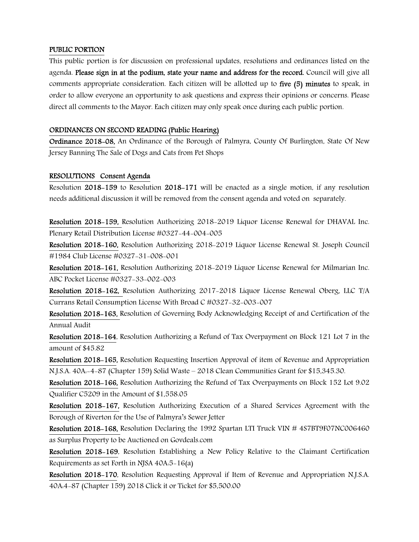#### PUBLIC PORTION

This public portion is for discussion on professional updates, resolutions and ordinances listed on the agenda. Please sign in at the podium, state your name and address for the record. Council will give all comments appropriate consideration. Each citizen will be allotted up to five (5) minutes to speak, in order to allow everyone an opportunity to ask questions and express their opinions or concerns. Please direct all comments to the Mayor. Each citizen may only speak once during each public portion.

#### ORDINANCES ON SECOND READING (Public Hearing)

Ordinance 2018-08, An Ordinance of the Borough of Palmyra, County Of Burlington, State Of New Jersey Banning The Sale of Dogs and Cats from Pet Shops

#### RESOLUTIONS Consent Agenda

Resolution 2018-159 to Resolution 2018-171 will be enacted as a single motion, if any resolution needs additional discussion it will be removed from the consent agenda and voted on separately.

Resolution 2018-159, Resolution Authorizing 2018-2019 Liquor License Renewal for DHAVAL Inc. Plenary Retail Distribution License #0327-44-004-005

Resolution 2018-160, Resolution Authorizing 2018-2019 Liquor License Renewal St. Joseph Council #1984 Club License #0327-31-008-001

Resolution 2018-161, Resolution Authorizing 2018-2019 Liquor License Renewal for Milmarian Inc. ABC Pocket License #0327-33-002-003

Resolution 2018-162, Resolution Authorizing 2017-2018 Liquor License Renewal Oberg, LLC T/A Currans Retail Consumption License With Broad C #0327-32-003-007

Resolution 2018-163, Resolution of Governing Body Acknowledging Receipt of and Certification of the Annual Audit

Resolution 2018-164, Resolution Authorizing a Refund of Tax Overpayment on Block 121 Lot 7 in the amount of \$45.82

Resolution 2018-165, Resolution Requesting Insertion Approval of item of Revenue and Appropriation N.J.S.A. 40A:-4-87 (Chapter 159) Solid Waste – 2018 Clean Communities Grant for \$15,345.30.

Resolution 2018-166, Resolution Authorizing the Refund of Tax Overpayments on Block 152 Lot 9.02 Qualifier C5209 in the Amount of \$1,558.05

Resolution 2018-167, Resolution Authorizing Execution of a Shared Services Agreement with the Borough of Riverton for the Use of Palmyra's Sewer Jetter

Resolution 2018-168, Resolution Declaring the 1992 Spartan LTI Truck VIN # 4S7BT9F07NC006460 as Surplus Property to be Auctioned on Govdeals.com

Resolution 2018-169, Resolution Establishing a New Policy Relative to the Claimant Certification Requirements as set Forth in NJSA 40A:5-16(a)

Resolution 2018-170, Resolution Requesting Approval if Item of Revenue and Appropriation N.J.S.A. 40A:4-87 (Chapter 159) 2018 Click it or Ticket for \$5,500.00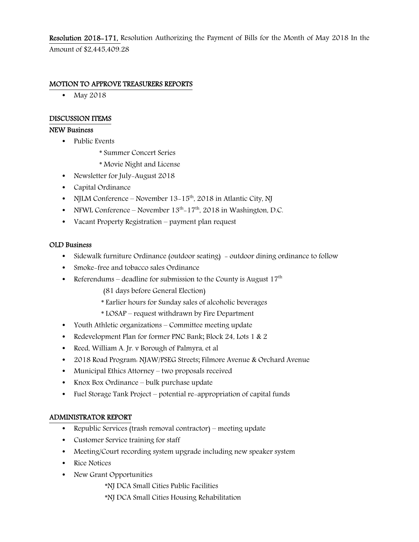Resolution 2018-171, Resolution Authorizing the Payment of Bills for the Month of May 2018 In the Amount of \$2,445,409.28

## MOTION TO APPROVE TREASURERS REPORTS

• May 2018

## DISCUSSION ITEMS

## NEW Business

- Public Events
	- \* Summer Concert Series
	- \* Movie Night and License
- Newsletter for July-August 2018
- Capital Ordinance
- NJLM Conference November  $13-15^{th}$ , 2018 in Atlantic City, NJ
- NFWL Conference November  $13<sup>th</sup>$ –17<sup>th</sup>, 2018 in Washington, D.C.
- Vacant Property Registration payment plan request

#### OLD Business

- Sidewalk furniture Ordinance (outdoor seating) outdoor dining ordinance to follow
- Smoke-free and tobacco sales Ordinance
- Referendums deadline for submission to the County is August  $17<sup>th</sup>$ 
	- (81 days before General Election)
	- \* Earlier hours for Sunday sales of alcoholic beverages
	- \* LOSAP request withdrawn by Fire Department
- Youth Athletic organizations Committee meeting update
- Redevelopment Plan for former PNC Bank; Block 24, Lots 1 & 2
- Reed, William A. Jr. v Borough of Palmyra, et al
- 2018 Road Program: NJAW/PSEG Streets; Filmore Avenue & Orchard Avenue
- Municipal Ethics Attorney two proposals received
- Knox Box Ordinance bulk purchase update
- Fuel Storage Tank Project potential re-appropriation of capital funds

#### ADMINISTRATOR REPORT

- Republic Services (trash removal contractor) meeting update
- Customer Service training for staff
- Meeting/Court recording system upgrade including new speaker system
- Rice Notices
- New Grant Opportunities
	- \*NJ DCA Small Cities Public Facilities
	- \*NJ DCA Small Cities Housing Rehabilitation